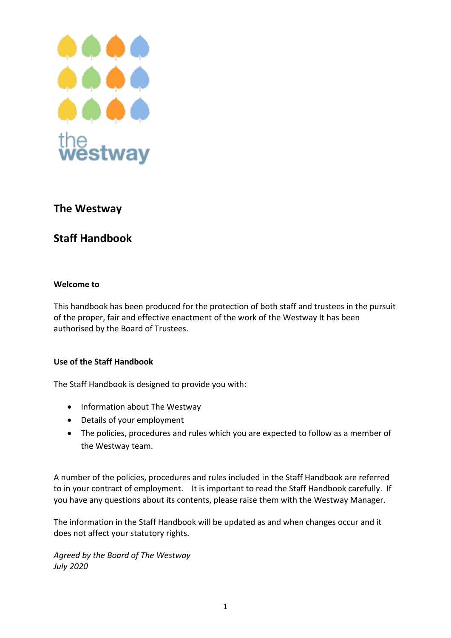

# **The Westway**

# **Staff Handbook**

## **Welcome to**

This handbook has been produced for the protection of both staff and trustees in the pursuit of the proper, fair and effective enactment of the work of the Westway It has been authorised by the Board of Trustees.

## **Use of the Staff Handbook**

The Staff Handbook is designed to provide you with:

- Information about The Westway
- Details of your employment
- The policies, procedures and rules which you are expected to follow as a member of the Westway team.

A number of the policies, procedures and rules included in the Staff Handbook are referred to in your contract of employment. It is important to read the Staff Handbook carefully. If you have any questions about its contents, please raise them with the Westway Manager.

The information in the Staff Handbook will be updated as and when changes occur and it does not affect your statutory rights.

*Agreed by the Board of The Westway July 2020*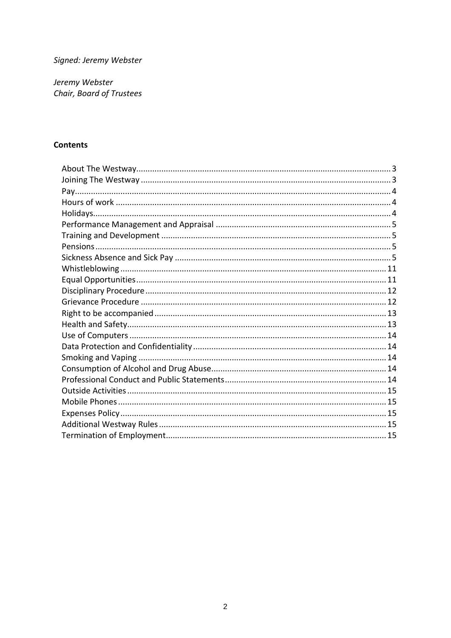Signed: Jeremy Webster

Jeremy Webster Chair, Board of Trustees

## **Contents**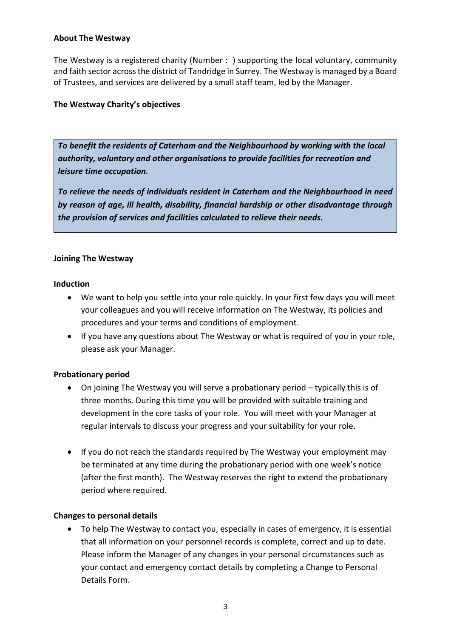#### <span id="page-2-0"></span>**About The Westway**

The Westway is a registered charity (Number : ) supporting the local voluntary, community and faith sector across the district of Tandridge in Surrey. The Westway is managed by a Board of Trustees, and services are delivered by a small staff team, led by the Manager.

#### **The Westway Charity's objectives**

*To benefit the residents of Caterham and the Neighbourhood by working with the local authority, voluntary and other organisations to provide facilities for recreation and leisure time occupation.*

*To relieve the needs of individuals resident in Caterham and the Neighbourhood in need by reason of age, ill health, disability, financial hardship or other disadvantage through the provision of services and facilities calculated to relieve their needs.*

#### <span id="page-2-1"></span>**Joining The Westway**

#### **Induction**

- We want to help you settle into your role quickly. In your first few days you will meet your colleagues and you will receive information on The Westway, its policies and procedures and your terms and conditions of employment.
- If you have any questions about The Westway or what is required of you in your role, please ask your Manager.

## **Probationary period**

- On joining The Westway you will serve a probationary period typically this is of three months. During this time you will be provided with suitable training and development in the core tasks of your role. You will meet with your Manager at regular intervals to discuss your progress and your suitability for your role.
- If you do not reach the standards required by The Westway your employment may be terminated at any time during the probationary period with one week's notice (after the first month). The Westway reserves the right to extend the probationary period where required.

#### **Changes to personal details**

• To help The Westway to contact you, especially in cases of emergency, it is essential that all information on your personnel records is complete, correct and up to date. Please inform the Manager of any changes in your personal circumstances such as your contact and emergency contact details by completing a Change to Personal Details Form.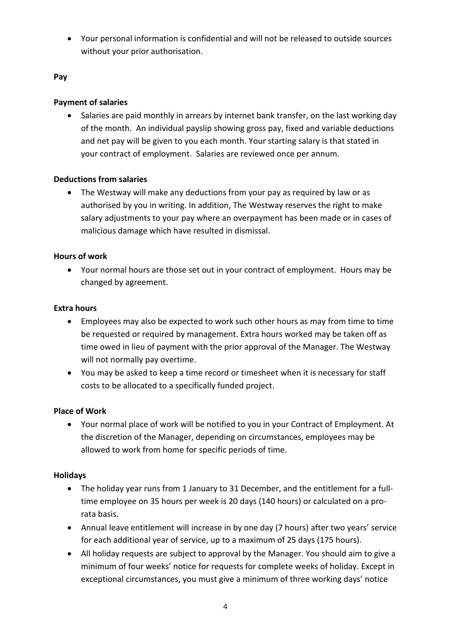• Your personal information is confidential and will not be released to outside sources without your prior authorisation.

## <span id="page-3-0"></span>**Pay**

## **Payment of salaries**

• Salaries are paid monthly in arrears by internet bank transfer, on the last working day of the month. An individual payslip showing gross pay, fixed and variable deductions and net pay will be given to you each month. Your starting salary is that stated in your contract of employment. Salaries are reviewed once per annum.

## **Deductions from salaries**

• The Westway will make any deductions from your pay as required by law or as authorised by you in writing. In addition, The Westway reserves the right to make salary adjustments to your pay where an overpayment has been made or in cases of malicious damage which have resulted in dismissal.

## <span id="page-3-1"></span>**Hours of work**

• Your normal hours are those set out in your contract of employment. Hours may be changed by agreement.

## **Extra hours**

- Employees may also be expected to work such other hours as may from time to time be requested or required by management. Extra hours worked may be taken off as time owed in lieu of payment with the prior approval of the Manager. The Westway will not normally pay overtime.
- You may be asked to keep a time record or timesheet when it is necessary for staff costs to be allocated to a specifically funded project.

## **Place of Work**

• Your normal place of work will be notified to you in your Contract of Employment. At the discretion of the Manager, depending on circumstances, employees may be allowed to work from home for specific periods of time.

## <span id="page-3-2"></span>**Holidays**

- The holiday year runs from 1 January to 31 December, and the entitlement for a fulltime employee on 35 hours per week is 20 days (140 hours) or calculated on a prorata basis.
- Annual leave entitlement will increase in by one day (7 hours) after two years' service for each additional year of service, up to a maximum of 25 days (175 hours).
- All holiday requests are subject to approval by the Manager. You should aim to give a minimum of four weeks' notice for requests for complete weeks of holiday. Except in exceptional circumstances, you must give a minimum of three working days' notice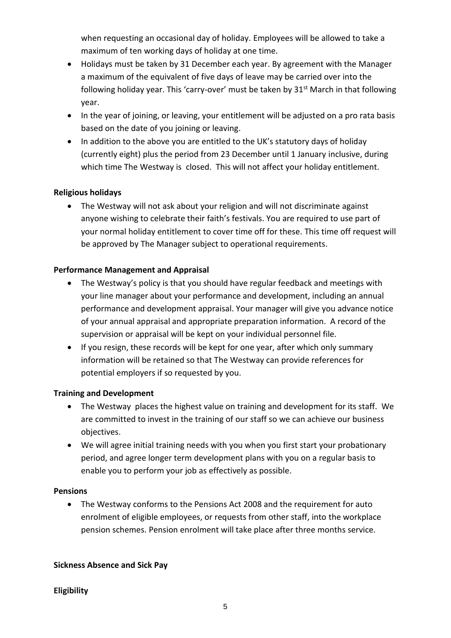when requesting an occasional day of holiday. Employees will be allowed to take a maximum of ten working days of holiday at one time.

- Holidays must be taken by 31 December each year. By agreement with the Manager a maximum of the equivalent of five days of leave may be carried over into the following holiday year. This 'carry-over' must be taken by  $31^{st}$  March in that following year.
- In the year of joining, or leaving, your entitlement will be adjusted on a pro rata basis based on the date of you joining or leaving.
- In addition to the above you are entitled to the UK's statutory days of holiday (currently eight) plus the period from 23 December until 1 January inclusive, during which time The Westway is closed. This will not affect your holiday entitlement.

## **Religious holidays**

• The Westway will not ask about your religion and will not discriminate against anyone wishing to celebrate their faith's festivals. You are required to use part of your normal holiday entitlement to cover time off for these. This time off request will be approved by The Manager subject to operational requirements.

## <span id="page-4-0"></span>**Performance Management and Appraisal**

- The Westway's policy is that you should have regular feedback and meetings with your line manager about your performance and development, including an annual performance and development appraisal. Your manager will give you advance notice of your annual appraisal and appropriate preparation information. A record of the supervision or appraisal will be kept on your individual personnel file.
- If you resign, these records will be kept for one year, after which only summary information will be retained so that The Westway can provide references for potential employers if so requested by you.

## <span id="page-4-1"></span>**Training and Development**

- The Westway places the highest value on training and development for its staff. We are committed to invest in the training of our staff so we can achieve our business objectives.
- We will agree initial training needs with you when you first start your probationary period, and agree longer term development plans with you on a regular basis to enable you to perform your job as effectively as possible.

## <span id="page-4-2"></span>**Pensions**

• The Westway conforms to the Pensions Act 2008 and the requirement for auto enrolment of eligible employees, or requests from other staff, into the workplace pension schemes. Pension enrolment will take place after three months service.

# <span id="page-4-3"></span>**Sickness Absence and Sick Pay**

# **Eligibility**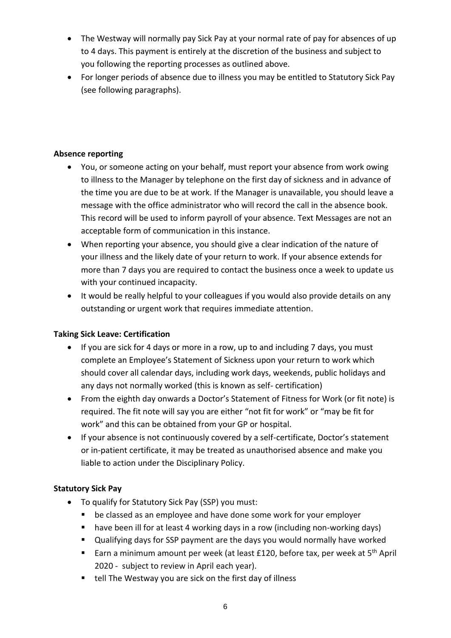- The Westway will normally pay Sick Pay at your normal rate of pay for absences of up to 4 days. This payment is entirely at the discretion of the business and subject to you following the reporting processes as outlined above.
- For longer periods of absence due to illness you may be entitled to Statutory Sick Pay (see following paragraphs).

## **Absence reporting**

- You, or someone acting on your behalf, must report your absence from work owing to illness to the Manager by telephone on the first day of sickness and in advance of the time you are due to be at work. If the Manager is unavailable, you should leave a message with the office administrator who will record the call in the absence book. This record will be used to inform payroll of your absence. Text Messages are not an acceptable form of communication in this instance.
- When reporting your absence, you should give a clear indication of the nature of your illness and the likely date of your return to work. If your absence extends for more than 7 days you are required to contact the business once a week to update us with your continued incapacity.
- It would be really helpful to your colleagues if you would also provide details on any outstanding or urgent work that requires immediate attention.

# **Taking Sick Leave: Certification**

- If you are sick for 4 days or more in a row, up to and including 7 days, you must complete an Employee's Statement of Sickness upon your return to work which should cover all calendar days, including work days, weekends, public holidays and any days not normally worked (this is known as self- certification)
- From the eighth day onwards a Doctor's Statement of Fitness for Work (or fit note) is required. The fit note will say you are either "not fit for work" or "may be fit for work" and this can be obtained from your GP or hospital.
- If your absence is not continuously covered by a self-certificate, Doctor's statement or in-patient certificate, it may be treated as unauthorised absence and make you liable to action under the Disciplinary Policy.

# **Statutory Sick Pay**

- To qualify for Statutory Sick Pay (SSP) you must:
	- be classed as an employee and have done some work for your employer
	- have been ill for at least 4 working days in a row (including non-working days)
	- Qualifying days for SSP payment are the days you would normally have worked
	- Earn a minimum amount per week (at least £120, before tax, per week at 5<sup>th</sup> April 2020 - subject to review in April each year).
	- tell The Westway you are sick on the first day of illness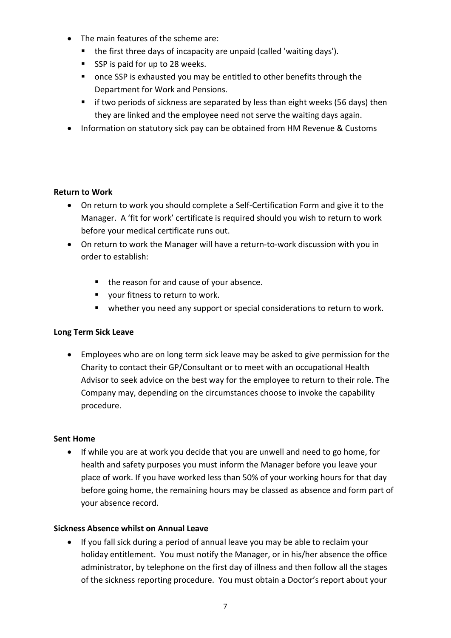- The main features of the scheme are:
	- the first three days of incapacity are unpaid (called 'waiting days').
	- SSP is paid for up to 28 weeks.
	- once SSP is exhausted you may be entitled to other benefits through the Department for Work and Pensions.
	- $\blacksquare$  if two periods of sickness are separated by less than eight weeks (56 days) then they are linked and the employee need not serve the waiting days again.
- Information on statutory sick pay can be obtained from HM Revenue & Customs

#### **Return to Work**

- On return to work you should complete a Self-Certification Form and give it to the Manager. A 'fit for work' certificate is required should you wish to return to work before your medical certificate runs out.
- On return to work the Manager will have a return-to-work discussion with you in order to establish:
	- the reason for and cause of your absence.
	- vour fitness to return to work.
	- whether you need any support or special considerations to return to work.

## **Long Term Sick Leave**

• Employees who are on long term sick leave may be asked to give permission for the Charity to contact their GP/Consultant or to meet with an occupational Health Advisor to seek advice on the best way for the employee to return to their role. The Company may, depending on the circumstances choose to invoke the capability procedure.

#### **Sent Home**

• If while you are at work you decide that you are unwell and need to go home, for health and safety purposes you must inform the Manager before you leave your place of work. If you have worked less than 50% of your working hours for that day before going home, the remaining hours may be classed as absence and form part of your absence record.

## **Sickness Absence whilst on Annual Leave**

• If you fall sick during a period of annual leave you may be able to reclaim your holiday entitlement. You must notify the Manager, or in his/her absence the office administrator, by telephone on the first day of illness and then follow all the stages of the sickness reporting procedure. You must obtain a Doctor's report about your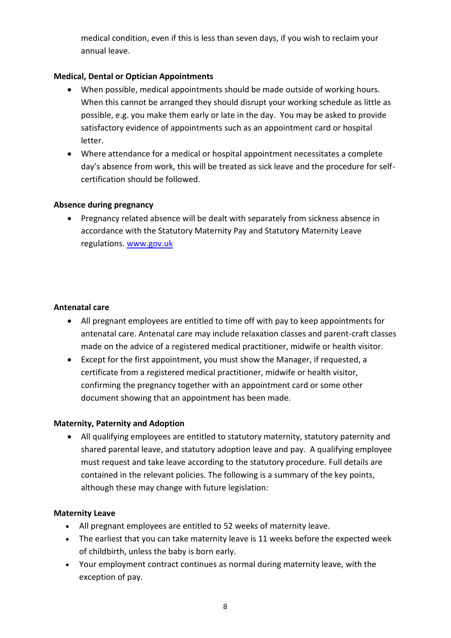medical condition, even if this is less than seven days, if you wish to reclaim your annual leave.

## **Medical, Dental or Optician Appointments**

- When possible, medical appointments should be made outside of working hours. When this cannot be arranged they should disrupt your working schedule as little as possible, e.g. you make them early or late in the day. You may be asked to provide satisfactory evidence of appointments such as an appointment card or hospital letter.
- Where attendance for a medical or hospital appointment necessitates a complete day's absence from work, this will be treated as sick leave and the procedure for selfcertification should be followed.

## **Absence during pregnancy**

• Pregnancy related absence will be dealt with separately from sickness absence in accordance with the Statutory Maternity Pay and Statutory Maternity Leave regulations. [www.gov.uk](http://www.gov.uk/)

## **Antenatal care**

- All pregnant employees are entitled to time off with pay to keep appointments for antenatal care. Antenatal care may include relaxation classes and parent-craft classes made on the advice of a registered medical practitioner, midwife or health visitor.
- Except for the first appointment, you must show the Manager, if requested, a certificate from a registered medical practitioner, midwife or health visitor, confirming the pregnancy together with an appointment card or some other document showing that an appointment has been made.

## **Maternity, Paternity and Adoption**

• All qualifying employees are entitled to statutory maternity, statutory paternity and shared parental leave, and statutory adoption leave and pay. A qualifying employee must request and take leave according to the statutory procedure. Full details are contained in the relevant policies. The following is a summary of the key points, although these may change with future legislation:

## **Maternity Leave**

- All pregnant employees are entitled to 52 weeks of maternity leave.
- The earliest that you can take maternity leave is 11 weeks before the expected week of childbirth, unless the baby is born early.
- Your employment contract continues as normal during maternity leave, with the exception of pay.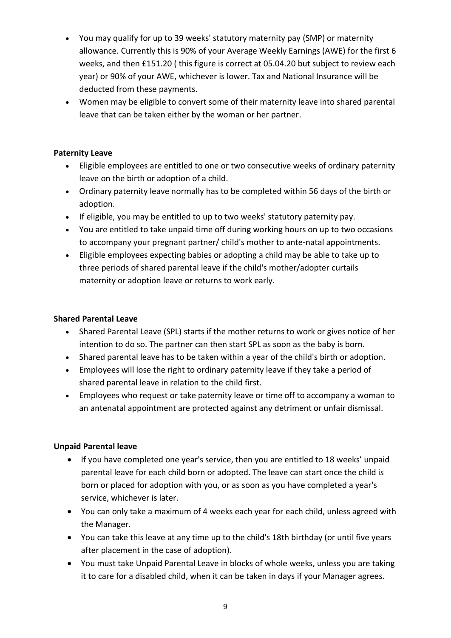- You may qualify for up to 39 weeks' statutory maternity pay (SMP) or maternity allowance. Currently this is 90% of your Average Weekly Earnings (AWE) for the first 6 weeks, and then £151.20 ( this figure is correct at 05.04.20 but subject to review each year) or 90% of your AWE, whichever is lower. Tax and National Insurance will be deducted from these payments.
- Women may be eligible to convert some of their maternity leave into shared parental leave that can be taken either by the woman or her partner.

## **Paternity Leave**

- Eligible employees are entitled to one or two consecutive weeks of ordinary paternity leave on the birth or adoption of a child.
- Ordinary paternity leave normally has to be completed within 56 days of the birth or adoption.
- If eligible, you may be entitled to up to two weeks' statutory paternity pay.
- You are entitled to take unpaid time off during working hours on up to two occasions to accompany your pregnant partner/ child's mother to ante-natal appointments.
- Eligible employees expecting babies or adopting a child may be able to take up to three periods of shared parental leave if the child's mother/adopter curtails maternity or adoption leave or returns to work early.

## **Shared Parental Leave**

- Shared Parental Leave (SPL) starts if the mother returns to work or gives notice of her intention to do so. The partner can then start SPL as soon as the baby is born.
- Shared parental leave has to be taken within a year of the child's birth or adoption.
- Employees will lose the right to ordinary paternity leave if they take a period of shared parental leave in relation to the child first.
- Employees who request or take paternity leave or time off to accompany a woman to an antenatal appointment are protected against any detriment or unfair dismissal.

## **Unpaid Parental leave**

- If you have completed one year's service, then you are entitled to 18 weeks' unpaid parental leave for each child born or adopted. The leave can start once the child is born or placed for adoption with you, or as soon as you have completed a year's service, whichever is later.
- You can only take a maximum of 4 weeks each year for each child, unless agreed with the Manager.
- You can take this leave at any time up to the child's 18th birthday (or until five years after placement in the case of adoption).
- You must take Unpaid Parental Leave in blocks of whole weeks, unless you are taking it to care for a disabled child, when it can be taken in days if your Manager agrees.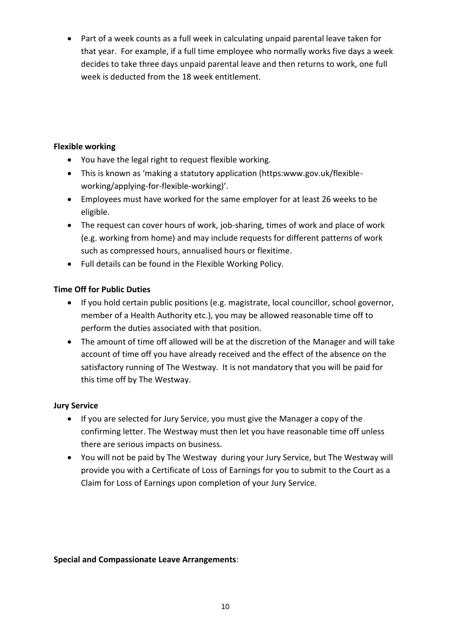• Part of a week counts as a full week in calculating unpaid parental leave taken for that year. For example, if a full time employee who normally works five days a week decides to take three days unpaid parental leave and then returns to work, one full week is deducted from the 18 week entitlement.

## **Flexible working**

- You have the legal right to request flexible working.
- This is known as 'making a statutory application (https:www.gov.uk/flexibleworking/applying-for-flexible-working)'.
- Employees must have worked for the same employer for at least 26 weeks to be eligible.
- The request can cover hours of work, job-sharing, times of work and place of work (e.g. working from home) and may include requests for different patterns of work such as compressed hours, annualised hours or flexitime.
- Full details can be found in the Flexible Working Policy.

# **Time Off for Public Duties**

- If you hold certain public positions (e.g. magistrate, local councillor, school governor, member of a Health Authority etc.), you may be allowed reasonable time off to perform the duties associated with that position.
- The amount of time off allowed will be at the discretion of the Manager and will take account of time off you have already received and the effect of the absence on the satisfactory running of The Westway. It is not mandatory that you will be paid for this time off by The Westway.

## **Jury Service**

- If you are selected for Jury Service, you must give the Manager a copy of the confirming letter. The Westway must then let you have reasonable time off unless there are serious impacts on business.
- You will not be paid by The Westway during your Jury Service, but The Westway will provide you with a Certificate of Loss of Earnings for you to submit to the Court as a Claim for Loss of Earnings upon completion of your Jury Service.

## **Special and Compassionate Leave Arrangements**: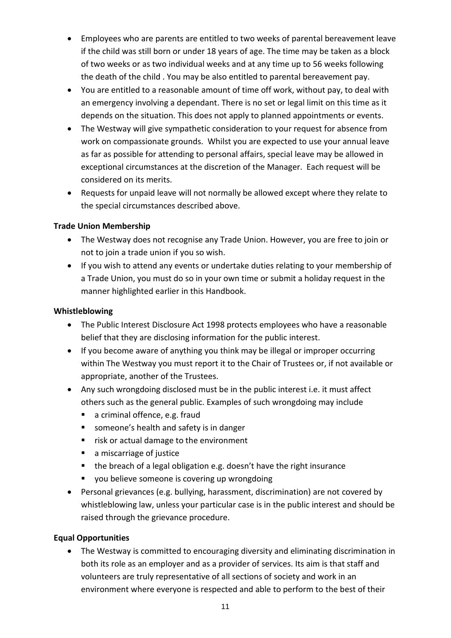- Employees who are parents are entitled to two weeks of parental bereavement leave if the child was still born or under 18 years of age. The time may be taken as a block of two weeks or as two individual weeks and at any time up to 56 weeks following the death of the child . You may be also entitled to parental bereavement pay.
- You are entitled to a reasonable amount of time off work, without pay, to deal with an emergency involving a dependant. There is no set or legal limit on this time as it depends on the situation. This does not apply to planned appointments or events.
- The Westway will give sympathetic consideration to your request for absence from work on compassionate grounds. Whilst you are expected to use your annual leave as far as possible for attending to personal affairs, special leave may be allowed in exceptional circumstances at the discretion of the Manager. Each request will be considered on its merits.
- Requests for unpaid leave will not normally be allowed except where they relate to the special circumstances described above.

## **Trade Union Membership**

- The Westway does not recognise any Trade Union. However, you are free to join or not to join a trade union if you so wish.
- If you wish to attend any events or undertake duties relating to your membership of a Trade Union, you must do so in your own time or submit a holiday request in the manner highlighted earlier in this Handbook.

## <span id="page-10-0"></span>**Whistleblowing**

- The Public Interest Disclosure Act 1998 protects employees who have a reasonable belief that they are disclosing information for the public interest.
- If you become aware of anything you think may be illegal or improper occurring within The Westway you must report it to the Chair of Trustees or, if not available or appropriate, another of the Trustees.
- Any such wrongdoing disclosed must be in the public interest i.e. it must affect others such as the general public. Examples of such wrongdoing may include
	- a criminal offence, e.g. fraud
	- someone's health and safety is in danger
	- risk or actual damage to the environment
	- a miscarriage of justice
	- the breach of a legal obligation e.g. doesn't have the right insurance
	- you believe someone is covering up wrongdoing
- Personal grievances (e.g. bullying, harassment, discrimination) are not covered by whistleblowing law, unless your particular case is in the public interest and should be raised through the grievance procedure.

# <span id="page-10-1"></span>**Equal Opportunities**

• The Westway is committed to encouraging diversity and eliminating discrimination in both its role as an employer and as a provider of services. Its aim is that staff and volunteers are truly representative of all sections of society and work in an environment where everyone is respected and able to perform to the best of their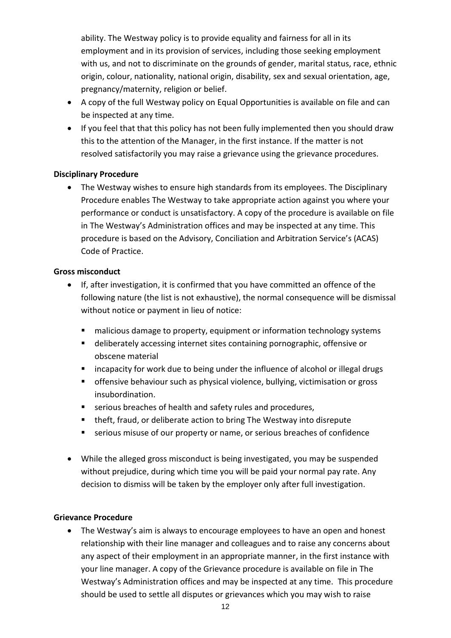ability. The Westway policy is to provide equality and fairness for all in its employment and in its provision of services, including those seeking employment with us, and not to discriminate on the grounds of gender, marital status, race, ethnic origin, colour, nationality, national origin, disability, sex and sexual orientation, age, pregnancy/maternity, religion or belief.

- A copy of the full Westway policy on Equal Opportunities is available on file and can be inspected at any time.
- If you feel that that this policy has not been fully implemented then you should draw this to the attention of the Manager, in the first instance. If the matter is not resolved satisfactorily you may raise a grievance using the grievance procedures.

## <span id="page-11-0"></span>**Disciplinary Procedure**

• The Westway wishes to ensure high standards from its employees. The Disciplinary Procedure enables The Westway to take appropriate action against you where your performance or conduct is unsatisfactory. A copy of the procedure is available on file in The Westway's Administration offices and may be inspected at any time. This procedure is based on the Advisory, Conciliation and Arbitration Service's (ACAS) Code of Practice.

## **Gross misconduct**

- If, after investigation, it is confirmed that you have committed an offence of the following nature (the list is not exhaustive), the normal consequence will be dismissal without notice or payment in lieu of notice:
	- malicious damage to property, equipment or information technology systems
	- deliberately accessing internet sites containing pornographic, offensive or obscene material
	- incapacity for work due to being under the influence of alcohol or illegal drugs
	- **•** offensive behaviour such as physical violence, bullying, victimisation or gross insubordination.
	- serious breaches of health and safety rules and procedures,
	- theft, fraud, or deliberate action to bring The Westway into disrepute
	- serious misuse of our property or name, or serious breaches of confidence
- While the alleged gross misconduct is being investigated, you may be suspended without prejudice, during which time you will be paid your normal pay rate. Any decision to dismiss will be taken by the employer only after full investigation.

## <span id="page-11-1"></span>**Grievance Procedure**

• The Westway's aim is always to encourage employees to have an open and honest relationship with their line manager and colleagues and to raise any concerns about any aspect of their employment in an appropriate manner, in the first instance with your line manager. A copy of the Grievance procedure is available on file in The Westway's Administration offices and may be inspected at any time. This procedure should be used to settle all disputes or grievances which you may wish to raise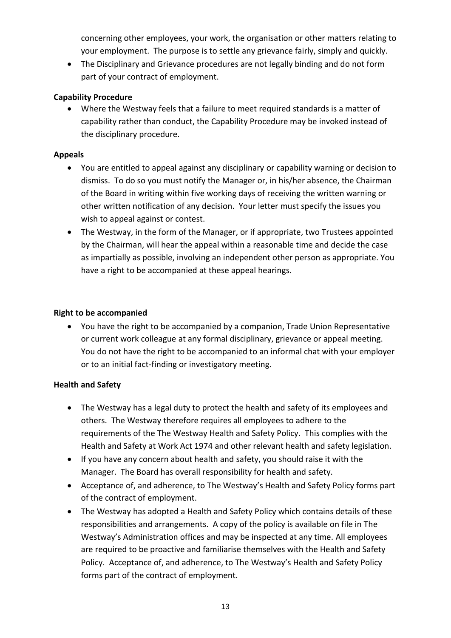concerning other employees, your work, the organisation or other matters relating to your employment. The purpose is to settle any grievance fairly, simply and quickly.

• The Disciplinary and Grievance procedures are not legally binding and do not form part of your contract of employment.

## **Capability Procedure**

• Where the Westway feels that a failure to meet required standards is a matter of capability rather than conduct, the Capability Procedure may be invoked instead of the disciplinary procedure.

## **Appeals**

- You are entitled to appeal against any disciplinary or capability warning or decision to dismiss. To do so you must notify the Manager or, in his/her absence, the Chairman of the Board in writing within five working days of receiving the written warning or other written notification of any decision. Your letter must specify the issues you wish to appeal against or contest.
- The Westway, in the form of the Manager, or if appropriate, two Trustees appointed by the Chairman, will hear the appeal within a reasonable time and decide the case as impartially as possible, involving an independent other person as appropriate. You have a right to be accompanied at these appeal hearings.

## <span id="page-12-0"></span>**Right to be accompanied**

• You have the right to be accompanied by a companion, Trade Union Representative or current work colleague at any formal disciplinary, grievance or appeal meeting. You do not have the right to be accompanied to an informal chat with your employer or to an initial fact-finding or investigatory meeting.

## <span id="page-12-1"></span>**Health and Safety**

- The Westway has a legal duty to protect the health and safety of its employees and others. The Westway therefore requires all employees to adhere to the requirements of the The Westway Health and Safety Policy. This complies with the Health and Safety at Work Act 1974 and other relevant health and safety legislation.
- If you have any concern about health and safety, you should raise it with the Manager. The Board has overall responsibility for health and safety.
- Acceptance of, and adherence, to The Westway's Health and Safety Policy forms part of the contract of employment.
- The Westway has adopted a Health and Safety Policy which contains details of these responsibilities and arrangements. A copy of the policy is available on file in The Westway's Administration offices and may be inspected at any time. All employees are required to be proactive and familiarise themselves with the Health and Safety Policy. Acceptance of, and adherence, to The Westway's Health and Safety Policy forms part of the contract of employment.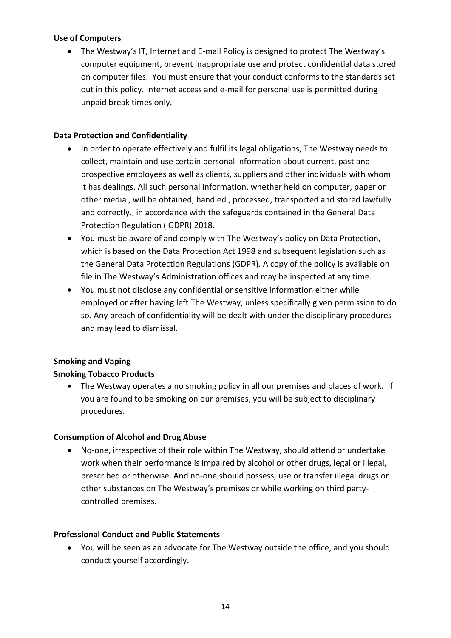#### <span id="page-13-0"></span>**Use of Computers**

• The Westway's IT, Internet and E-mail Policy is designed to protect The Westway's computer equipment, prevent inappropriate use and protect confidential data stored on computer files. You must ensure that your conduct conforms to the standards set out in this policy. Internet access and e-mail for personal use is permitted during unpaid break times only.

#### <span id="page-13-1"></span>**Data Protection and Confidentiality**

- In order to operate effectively and fulfil its legal obligations, The Westway needs to collect, maintain and use certain personal information about current, past and prospective employees as well as clients, suppliers and other individuals with whom it has dealings. All such personal information, whether held on computer, paper or other media , will be obtained, handled , processed, transported and stored lawfully and correctly., in accordance with the safeguards contained in the General Data Protection Regulation ( GDPR) 2018.
- You must be aware of and comply with The Westway's policy on Data Protection, which is based on the Data Protection Act 1998 and subsequent legislation such as the General Data Protection Regulations (GDPR). A copy of the policy is available on file in The Westway's Administration offices and may be inspected at any time.
- You must not disclose any confidential or sensitive information either while employed or after having left The Westway, unless specifically given permission to do so. Any breach of confidentiality will be dealt with under the disciplinary procedures and may lead to dismissal.

## <span id="page-13-2"></span>**Smoking and Vaping**

## **Smoking Tobacco Products**

• The Westway operates a no smoking policy in all our premises and places of work. If you are found to be smoking on our premises, you will be subject to disciplinary procedures.

## <span id="page-13-3"></span>**Consumption of Alcohol and Drug Abuse**

• No-one, irrespective of their role within The Westway, should attend or undertake work when their performance is impaired by alcohol or other drugs, legal or illegal, prescribed or otherwise. And no-one should possess, use or transfer illegal drugs or other substances on The Westway's premises or while working on third partycontrolled premises.

#### <span id="page-13-4"></span>**Professional Conduct and Public Statements**

• You will be seen as an advocate for The Westway outside the office, and you should conduct yourself accordingly.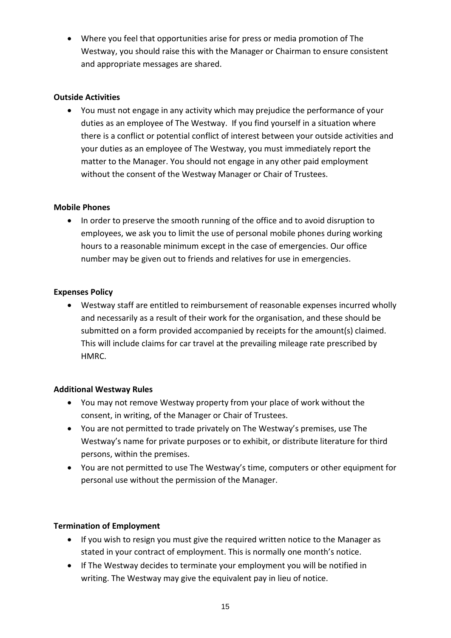• Where you feel that opportunities arise for press or media promotion of The Westway, you should raise this with the Manager or Chairman to ensure consistent and appropriate messages are shared.

## <span id="page-14-0"></span>**Outside Activities**

• You must not engage in any activity which may prejudice the performance of your duties as an employee of The Westway. If you find yourself in a situation where there is a conflict or potential conflict of interest between your outside activities and your duties as an employee of The Westway, you must immediately report the matter to the Manager. You should not engage in any other paid employment without the consent of the Westway Manager or Chair of Trustees.

## <span id="page-14-1"></span>**Mobile Phones**

• In order to preserve the smooth running of the office and to avoid disruption to employees, we ask you to limit the use of personal mobile phones during working hours to a reasonable minimum except in the case of emergencies. Our office number may be given out to friends and relatives for use in emergencies.

## <span id="page-14-2"></span>**Expenses Policy**

• Westway staff are entitled to reimbursement of reasonable expenses incurred wholly and necessarily as a result of their work for the organisation, and these should be submitted on a form provided accompanied by receipts for the amount(s) claimed. This will include claims for car travel at the prevailing mileage rate prescribed by **HMRC** 

## <span id="page-14-3"></span>**Additional Westway Rules**

- You may not remove Westway property from your place of work without the consent, in writing, of the Manager or Chair of Trustees.
- You are not permitted to trade privately on The Westway's premises, use The Westway's name for private purposes or to exhibit, or distribute literature for third persons, within the premises.
- You are not permitted to use The Westway's time, computers or other equipment for personal use without the permission of the Manager.

# <span id="page-14-4"></span>**Termination of Employment**

- If you wish to resign you must give the required written notice to the Manager as stated in your contract of employment. This is normally one month's notice.
- If The Westway decides to terminate your employment you will be notified in writing. The Westway may give the equivalent pay in lieu of notice.